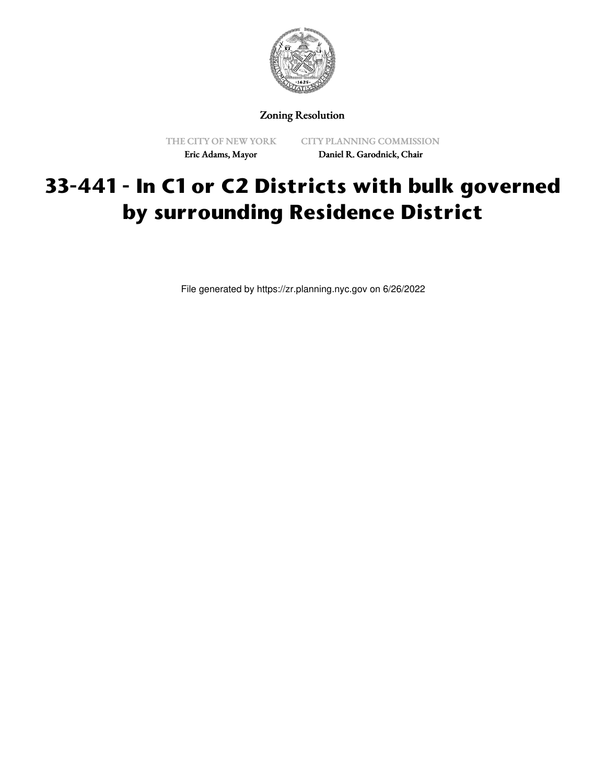

Zoning Resolution

THE CITY OF NEW YORK Eric Adams, Mayor

CITY PLANNING COMMISSION Daniel R. Garodnick, Chair

## **33-441 - In C1 or C2 Districts with bulk governed by surrounding Residence District**

File generated by https://zr.planning.nyc.gov on 6/26/2022